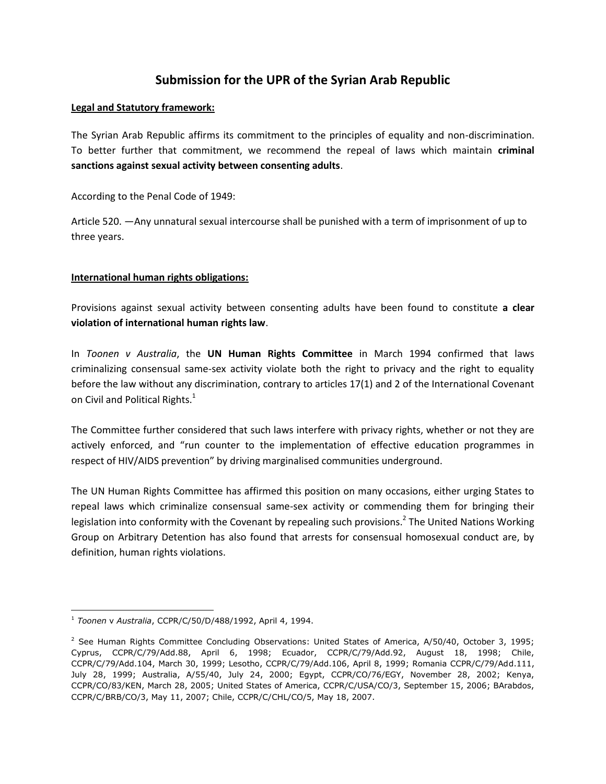# **Submission for the UPR of the Syrian Arab Republic**

### **Legal and Statutory framework:**

The Syrian Arab Republic affirms its commitment to the principles of equality and non-discrimination. To better further that commitment, we recommend the repeal of laws which maintain **criminal sanctions against sexual activity between consenting adults**.

According to the Penal Code of 1949:

Article 520. ―Any unnatural sexual intercourse shall be punished with a term of imprisonment of up to three years.

# **International human rights obligations:**

Provisions against sexual activity between consenting adults have been found to constitute **a clear violation of international human rights law**.

In *Toonen v Australia*, the **UN Human Rights Committee** in March 1994 confirmed that laws criminalizing consensual same-sex activity violate both the right to privacy and the right to equality before the law without any discrimination, contrary to articles 17(1) and 2 of the International Covenant on Civil and Political Rights. $1$ 

The Committee further considered that such laws interfere with privacy rights, whether or not they are actively enforced, and "run counter to the implementation of effective education programmes in respect of HIV/AIDS prevention" by driving marginalised communities underground.

The UN Human Rights Committee has affirmed this position on many occasions, either urging States to repeal laws which criminalize consensual same-sex activity or commending them for bringing their legislation into conformity with the Covenant by repealing such provisions.<sup>2</sup> The United Nations Working Group on Arbitrary Detention has also found that arrests for consensual homosexual conduct are, by definition, human rights violations.

 $\overline{a}$ <sup>1</sup> *Toonen* v *Australia*, CCPR/C/50/D/488/1992, April 4, 1994.

<sup>&</sup>lt;sup>2</sup> See Human Rights Committee Concluding Observations: United States of America,  $A/50/40$ , October 3, 1995; Cyprus, CCPR/C/79/Add.88, April 6, 1998; Ecuador, CCPR/C/79/Add.92, August 18, 1998; Chile, CCPR/C/79/Add.104, March 30, 1999; Lesotho, CCPR/C/79/Add.106, April 8, 1999; Romania CCPR/C/79/Add.111, July 28, 1999; Australia, A/55/40, July 24, 2000; Egypt, CCPR/CO/76/EGY, November 28, 2002; Kenya, CCPR/CO/83/KEN, March 28, 2005; United States of America, CCPR/C/USA/CO/3, September 15, 2006; BArabdos, CCPR/C/BRB/CO/3, May 11, 2007; Chile, CCPR/C/CHL/CO/5, May 18, 2007.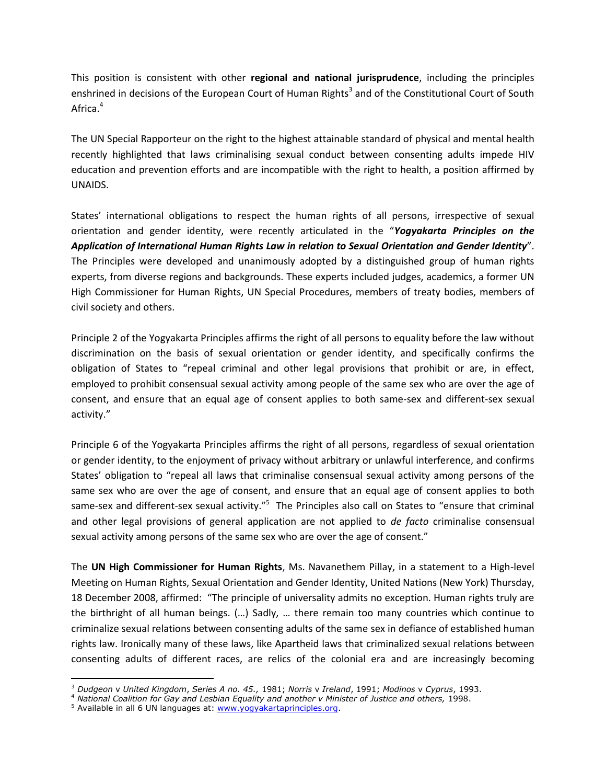This position is consistent with other **regional and national jurisprudence**, including the principles enshrined in decisions of the European Court of Human Rights<sup>3</sup> and of the Constitutional Court of South Africa.<sup>4</sup>

The UN Special Rapporteur on the right to the highest attainable standard of physical and mental health recently highlighted that laws criminalising sexual conduct between consenting adults impede HIV education and prevention efforts and are incompatible with the right to health, a position affirmed by UNAIDS.

States' international obligations to respect the human rights of all persons, irrespective of sexual orientation and gender identity, were recently articulated in the "*Yogyakarta Principles on the Application of International Human Rights Law in relation to Sexual Orientation and Gender Identity*". The Principles were developed and unanimously adopted by a distinguished group of human rights experts, from diverse regions and backgrounds. These experts included judges, academics, a former UN High Commissioner for Human Rights, UN Special Procedures, members of treaty bodies, members of civil society and others.

Principle 2 of the Yogyakarta Principles affirms the right of all persons to equality before the law without discrimination on the basis of sexual orientation or gender identity, and specifically confirms the obligation of States to "repeal criminal and other legal provisions that prohibit or are, in effect, employed to prohibit consensual sexual activity among people of the same sex who are over the age of consent, and ensure that an equal age of consent applies to both same-sex and different-sex sexual activity."

Principle 6 of the Yogyakarta Principles affirms the right of all persons, regardless of sexual orientation or gender identity, to the enjoyment of privacy without arbitrary or unlawful interference, and confirms States' obligation to "repeal all laws that criminalise consensual sexual activity among persons of the same sex who are over the age of consent, and ensure that an equal age of consent applies to both same-sex and different-sex sexual activity."<sup>5</sup> The Principles also call on States to "ensure that criminal and other legal provisions of general application are not applied to *de facto* criminalise consensual sexual activity among persons of the same sex who are over the age of consent."

The **UN High Commissioner for Human Rights**, Ms. Navanethem Pillay, in a statement to a High-level Meeting on Human Rights, Sexual Orientation and Gender Identity, United Nations (New York) Thursday, 18 December 2008, affirmed: "The principle of universality admits no exception. Human rights truly are the birthright of all human beings. (…) Sadly, … there remain too many countries which continue to criminalize sexual relations between consenting adults of the same sex in defiance of established human rights law. Ironically many of these laws, like Apartheid laws that criminalized sexual relations between consenting adults of different races, are relics of the colonial era and are increasingly becoming

 $\overline{\phantom{a}}$ 

<sup>3</sup> *Dudgeon* v *United Kingdom*, *Series A no. 45.,* 1981; *Norris* v *Ireland*, 1991; *Modinos* v *Cyprus*, 1993.

<sup>4</sup> *National Coalition for Gay and Lesbian Equality and another v Minister of Justice and others,* 1998.

<sup>&</sup>lt;sup>5</sup> Available in all 6 UN languages at: [www.yogyakartaprinciples.org.](http://www.yogyakartaprinciples.org/)